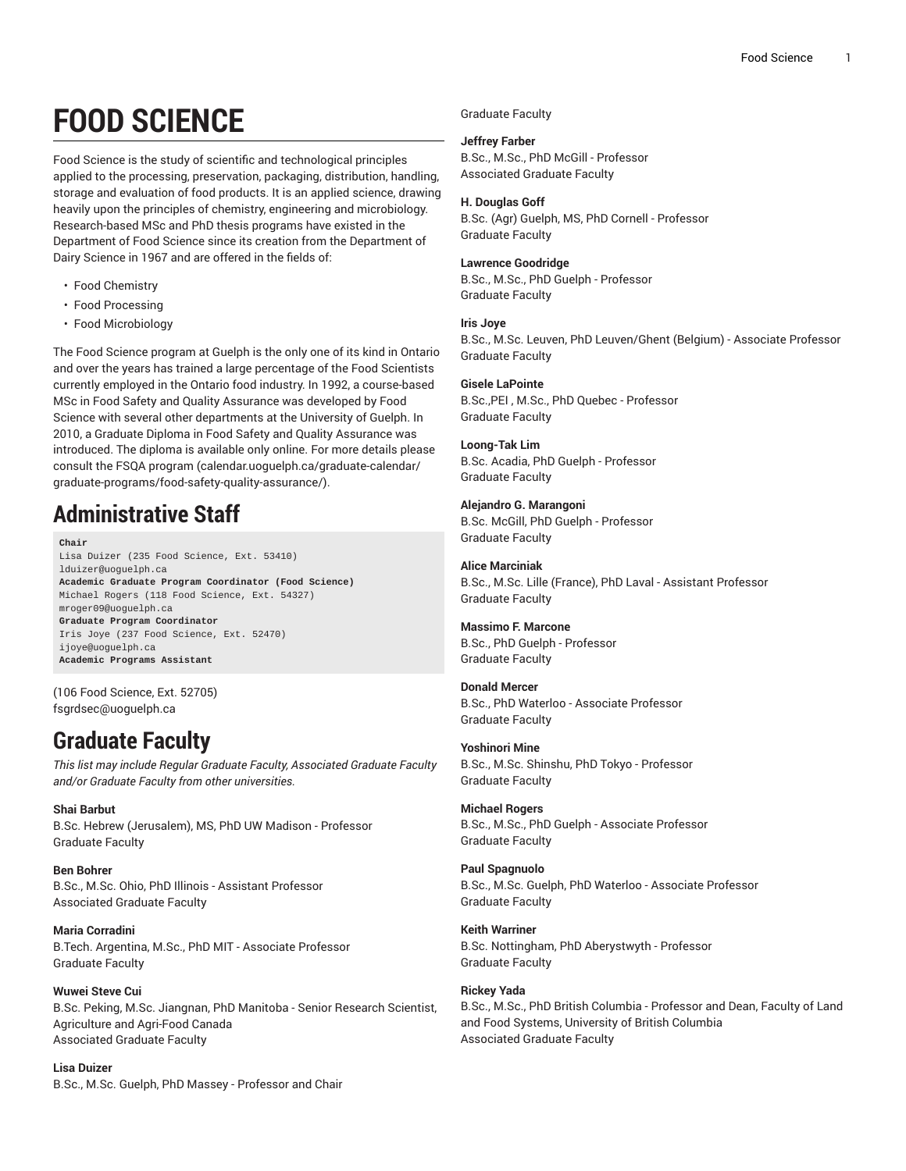# **FOOD SCIENCE**

Food Science is the study of scientific and technological principles applied to the processing, preservation, packaging, distribution, handling, storage and evaluation of food products. It is an applied science, drawing heavily upon the principles of chemistry, engineering and microbiology. Research-based MSc and PhD thesis programs have existed in the Department of Food Science since its creation from the Department of Dairy Science in 1967 and are offered in the fields of:

- Food Chemistry
- Food Processing
- Food Microbiology

The Food Science program at Guelph is the only one of its kind in Ontario and over the years has trained a large percentage of the Food Scientists currently employed in the Ontario food industry. In 1992, a course-based MSc in Food Safety and Quality Assurance was developed by Food Science with several other departments at the University of Guelph. In 2010, a Graduate Diploma in Food Safety and Quality Assurance was introduced. The diploma is available only online. For more details please consult the FSQA [program](����T�B&�`y��qO����a;m�s5��e9�
 ���BK��J1��E$w��z���~^�
��{���d�wކ���"?) ([calendar.uoguelph.ca/graduate-calendar/](����T�B&�`y��qO����a;m�s5��e9�
 ���BK��J1��E$w��z���~^�
��{���d�wކ���"?) [graduate-programs/food-safety-quality-assurance/](����T�B&�`y��qO����a;m�s5��e9�
 ���BK��J1��E$w��z���~^�
��{���d�wކ���"?)).

# **Administrative Staff**

**Chair** Lisa Duizer (235 Food Science, Ext. 53410) [lduizer@uoguelph.ca](vGa$�q~��Z)R�g��,)4�)�) **Academic Graduate Program Coordinator (Food Science)** Michael Rogers (118 Food Science, Ext. 54327) [mroger09@uoguelph.ca](�Ɠ��5���ƪ�0��@�đ�r�6UG{) **Graduate Program Coordinator** Iris Joye (237 Food Science, Ext. 52470) ijoye@uoquelph.ca **Academic Programs Assistant**

(106 Food Science, Ext. 52705) [fsgrdsec@uoguelph.ca](�w���.bQ�c�ֻ�"�At�j,�4�)

# **Graduate Faculty**

*This list may include Regular Graduate Faculty, Associated Graduate Faculty and/or Graduate Faculty from other universities.*

#### **Shai Barbut**

B.Sc. Hebrew (Jerusalem), MS, PhD UW Madison - Professor Graduate Faculty

#### **Ben Bohrer**

B.Sc., M.Sc. Ohio, PhD Illinois - Assistant Professor Associated Graduate Faculty

**Maria Corradini** B.Tech. Argentina, M.Sc., PhD MIT - Associate Professor Graduate Faculty

**Wuwei Steve Cui** B.Sc. Peking, M.Sc. Jiangnan, PhD Manitoba - Senior Research Scientist, Agriculture and Agri-Food Canada Associated Graduate Faculty

**Lisa Duizer** B.Sc., M.Sc. Guelph, PhD Massey - Professor and Chair Graduate Faculty

#### **Jeffrey Farber**

B.Sc., M.Sc., PhD McGill - Professor Associated Graduate Faculty

#### **H. Douglas Goff**

B.Sc. (Agr) Guelph, MS, PhD Cornell - Professor Graduate Faculty

#### **Lawrence Goodridge**

B.Sc., M.Sc., PhD Guelph - Professor Graduate Faculty

### **Iris Joye**

B.Sc., M.Sc. Leuven, PhD Leuven/Ghent (Belgium) - Associate Professor Graduate Faculty

### **Gisele LaPointe**

B.Sc.,PEI , M.Sc., PhD Quebec - Professor Graduate Faculty

### **Loong-Tak Lim**

B.Sc. Acadia, PhD Guelph - Professor Graduate Faculty

**Alejandro G. Marangoni** B.Sc. McGill, PhD Guelph - Professor Graduate Faculty

**Alice Marciniak** B.Sc., M.Sc. Lille (France), PhD Laval - Assistant Professor Graduate Faculty

**Massimo F. Marcone** B.Sc., PhD Guelph - Professor Graduate Faculty

**Donald Mercer** B.Sc., PhD Waterloo - Associate Professor Graduate Faculty

**Yoshinori Mine** B.Sc., M.Sc. Shinshu, PhD Tokyo - Professor Graduate Faculty

**Michael Rogers** B.Sc., M.Sc., PhD Guelph - Associate Professor Graduate Faculty

**Paul Spagnuolo** B.Sc., M.Sc. Guelph, PhD Waterloo - Associate Professor Graduate Faculty

**Keith Warriner** B.Sc. Nottingham, PhD Aberystwyth - Professor Graduate Faculty

**Rickey Yada** B.Sc., M.Sc., PhD British Columbia - Professor and Dean, Faculty of Land and Food Systems, University of British Columbia Associated Graduate Faculty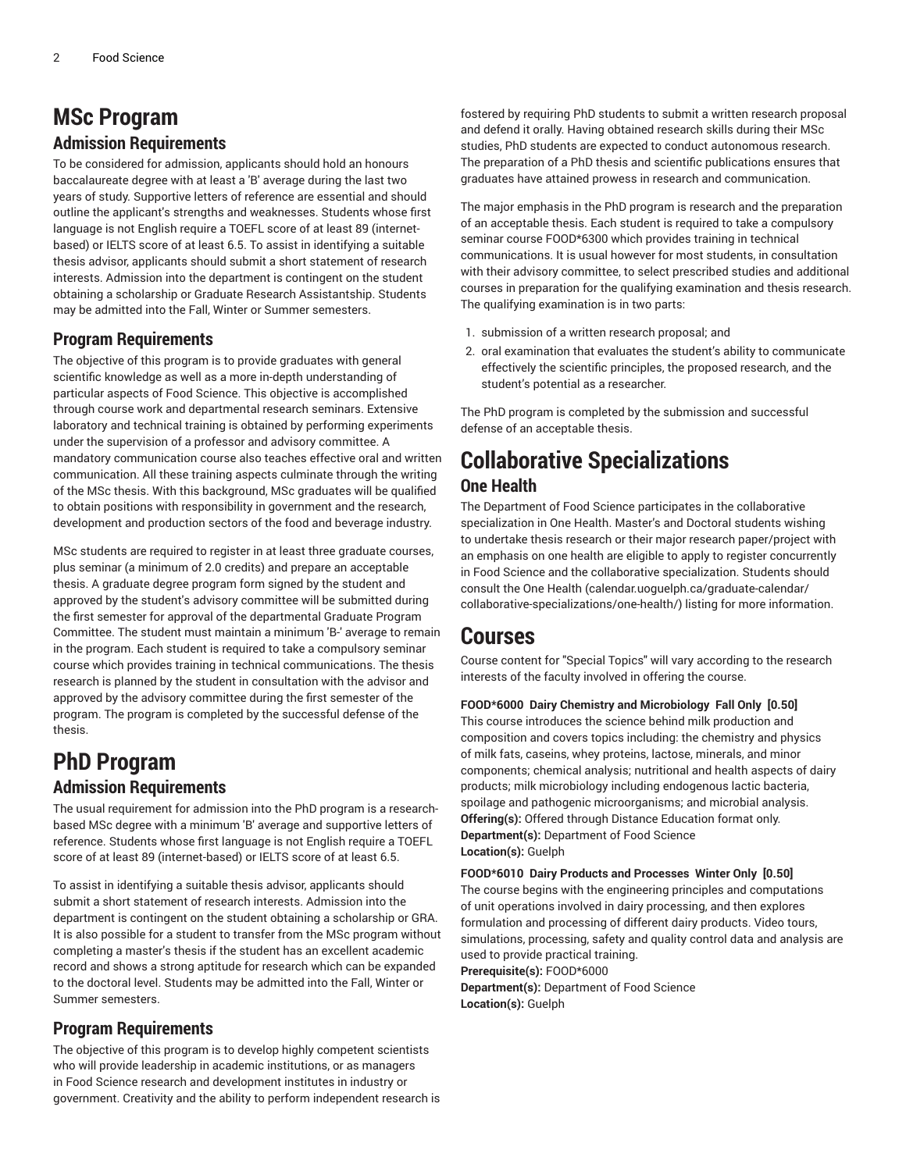### **MSc Program Admission Requirements**

To be considered for admission, applicants should hold an honours baccalaureate degree with at least a 'B' average during the last two years of study. Supportive letters of reference are essential and should outline the applicant's strengths and weaknesses. Students whose first language is not English require a TOEFL score of at least 89 (internetbased) or IELTS score of at least 6.5. To assist in identifying a suitable thesis advisor, applicants should submit a short statement of research interests. Admission into the department is contingent on the student obtaining a scholarship or Graduate Research Assistantship. Students may be admitted into the Fall, Winter or Summer semesters.

### **Program Requirements**

The objective of this program is to provide graduates with general scientific knowledge as well as a more in-depth understanding of particular aspects of Food Science. This objective is accomplished through course work and departmental research seminars. Extensive laboratory and technical training is obtained by performing experiments under the supervision of a professor and advisory committee. A mandatory communication course also teaches effective oral and written communication. All these training aspects culminate through the writing of the MSc thesis. With this background, MSc graduates will be qualified to obtain positions with responsibility in government and the research, development and production sectors of the food and beverage industry.

MSc students are required to register in at least three graduate courses, plus seminar (a minimum of 2.0 credits) and prepare an acceptable thesis. A graduate degree program form signed by the student and approved by the student's advisory committee will be submitted during the first semester for approval of the departmental Graduate Program Committee. The student must maintain a minimum 'B-' average to remain in the program. Each student is required to take a compulsory seminar course which provides training in technical communications. The thesis research is planned by the student in consultation with the advisor and approved by the advisory committee during the first semester of the program. The program is completed by the successful defense of the thesis.

### **PhD Program Admission Requirements**

The usual requirement for admission into the PhD program is a researchbased MSc degree with a minimum 'B' average and supportive letters of reference. Students whose first language is not English require a TOEFL score of at least 89 (internet-based) or IELTS score of at least 6.5.

To assist in identifying a suitable thesis advisor, applicants should submit a short statement of research interests. Admission into the department is contingent on the student obtaining a scholarship or GRA. It is also possible for a student to transfer from the MSc program without completing a master's thesis if the student has an excellent academic record and shows a strong aptitude for research which can be expanded to the doctoral level. Students may be admitted into the Fall, Winter or Summer semesters.

### **Program Requirements**

The objective of this program is to develop highly competent scientists who will provide leadership in academic institutions, or as managers in Food Science research and development institutes in industry or government. Creativity and the ability to perform independent research is

fostered by requiring PhD students to submit a written research proposal and defend it orally. Having obtained research skills during their MSc studies, PhD students are expected to conduct autonomous research. The preparation of a PhD thesis and scientific publications ensures that graduates have attained prowess in research and communication.

The major emphasis in the PhD program is research and the preparation of an acceptable thesis. Each student is required to take a compulsory seminar course FOOD\*6300 which provides training in technical communications. It is usual however for most students, in consultation with their advisory committee, to select prescribed studies and additional courses in preparation for the qualifying examination and thesis research. The qualifying examination is in two parts:

- 1. submission of a written research proposal; and
- 2. oral examination that evaluates the student's ability to communicate effectively the scientific principles, the proposed research, and the student's potential as a researcher.

The PhD program is completed by the submission and successful defense of an acceptable thesis.

### **Collaborative Specializations One Health**

The Department of Food Science participates in the collaborative specialization in One Health. Master's and Doctoral students wishing to undertake thesis research or their major research paper/project with an emphasis on one health are eligible to apply to register concurrently in Food Science and the collaborative specialization. Students should consult the [One Health \(calendar.uoguelph.ca/graduate-calendar/](�:$/h���bT�#B}x�4%�fAa��㒭���O�@���7zZ��8�2t���3vxO��v��y�d�C��k�n�) [collaborative-specializations/one-health/\)](�:$/h���bT�#B}x�4%�fAa��㒭���O�@���7zZ��8�2t���3vxO��v��y�d�C��k�n�) listing for more information.

### **Courses**

Course content for "Special Topics" will vary according to the research interests of the faculty involved in offering the course.

**FOOD\*6000 Dairy Chemistry and Microbiology Fall Only [0.50]** This course introduces the science behind milk production and composition and covers topics including: the chemistry and physics of milk fats, caseins, whey proteins, lactose, minerals, and minor components; chemical analysis; nutritional and health aspects of dairy products; milk microbiology including endogenous lactic bacteria, spoilage and pathogenic microorganisms; and microbial analysis. **Offering(s):** Offered through Distance Education format only. **Department(s):** Department of Food Science **Location(s):** Guelph

**FOOD\*6010 Dairy Products and Processes Winter Only [0.50]** The course begins with the engineering principles and computations of unit operations involved in dairy processing, and then explores formulation and processing of different dairy products. Video tours, simulations, processing, safety and quality control data and analysis are used to provide practical training. **Prerequisite(s):** FOOD\*6000

**Department(s):** Department of Food Science **Location(s):** Guelph